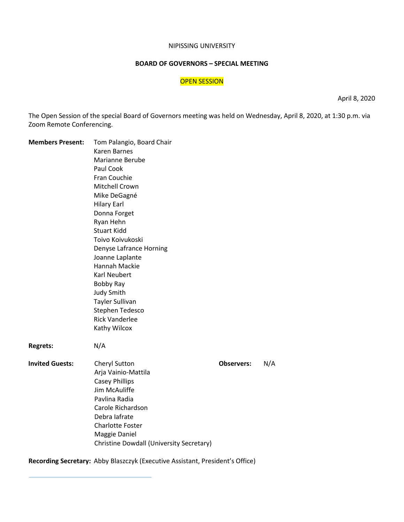#### NIPISSING UNIVERSITY

### **BOARD OF GOVERNORS – SPECIAL MEETING**

## OPEN SESSION

April 8, 2020

The Open Session of the special Board of Governors meeting was held on Wednesday, April 8, 2020, at 1:30 p.m. via Zoom Remote Conferencing.

| <b>Members Present:</b> | Tom Palangio, Board Chair<br><b>Karen Barnes</b><br>Marianne Berube<br>Paul Cook<br>Fran Couchie<br>Mitchell Crown<br>Mike DeGagné<br><b>Hilary Earl</b><br>Donna Forget<br>Ryan Hehn<br><b>Stuart Kidd</b><br>Toivo Koivukoski<br>Denyse Lafrance Horning<br>Joanne Laplante<br>Hannah Mackie<br><b>Karl Neubert</b><br>Bobby Ray<br><b>Judy Smith</b><br><b>Tayler Sullivan</b><br>Stephen Tedesco<br><b>Rick Vanderlee</b><br>Kathy Wilcox |                   |     |
|-------------------------|-----------------------------------------------------------------------------------------------------------------------------------------------------------------------------------------------------------------------------------------------------------------------------------------------------------------------------------------------------------------------------------------------------------------------------------------------|-------------------|-----|
| <b>Regrets:</b>         | N/A                                                                                                                                                                                                                                                                                                                                                                                                                                           |                   |     |
| <b>Invited Guests:</b>  | <b>Cheryl Sutton</b><br>Arja Vainio-Mattila<br><b>Casey Phillips</b><br>Jim McAuliffe<br>Pavlina Radia<br>Carole Richardson<br>Debra lafrate<br><b>Charlotte Foster</b><br>Maggie Daniel<br>Christine Dowdall (University Secretary)                                                                                                                                                                                                          | <b>Observers:</b> | N/A |

**Recording Secretary:** Abby Blaszczyk (Executive Assistant, President's Office)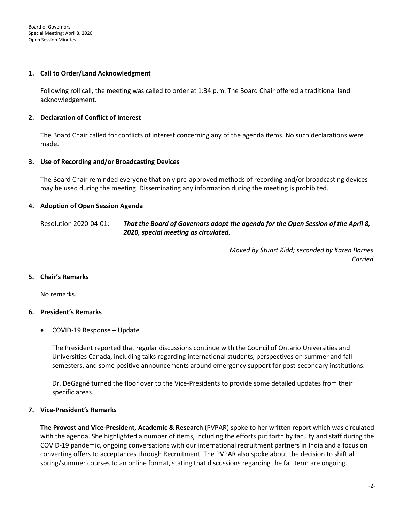### **1. Call to Order/Land Acknowledgment**

Following roll call, the meeting was called to order at 1:34 p.m. The Board Chair offered a traditional land acknowledgement.

## **2. Declaration of Conflict of Interest**

The Board Chair called for conflicts of interest concerning any of the agenda items. No such declarations were made.

### **3. Use of Recording and/or Broadcasting Devices**

The Board Chair reminded everyone that only pre-approved methods of recording and/or broadcasting devices may be used during the meeting. Disseminating any information during the meeting is prohibited.

## **4. Adoption of Open Session Agenda**

Resolution 2020-04-01: *That the Board of Governors adopt the agenda for the Open Session of the April 8, 2020, special meeting as circulated.*

> *Moved by Stuart Kidd; seconded by Karen Barnes. Carried.*

## **5. Chair's Remarks**

No remarks.

## **6. President's Remarks**

• COVID-19 Response – Update

The President reported that regular discussions continue with the Council of Ontario Universities and Universities Canada, including talks regarding international students, perspectives on summer and fall semesters, and some positive announcements around emergency support for post-secondary institutions.

Dr. DeGagné turned the floor over to the Vice-Presidents to provide some detailed updates from their specific areas.

#### **7. Vice-President's Remarks**

**The Provost and Vice-President, Academic & Research** (PVPAR) spoke to her written report which was circulated with the agenda. She highlighted a number of items, including the efforts put forth by faculty and staff during the COVID-19 pandemic, ongoing conversations with our international recruitment partners in India and a focus on converting offers to acceptances through Recruitment. The PVPAR also spoke about the decision to shift all spring/summer courses to an online format, stating that discussions regarding the fall term are ongoing.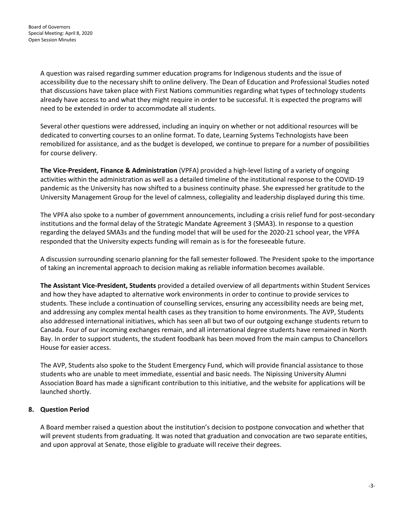A question was raised regarding summer education programs for Indigenous students and the issue of accessibility due to the necessary shift to online delivery. The Dean of Education and Professional Studies noted that discussions have taken place with First Nations communities regarding what types of technology students already have access to and what they might require in order to be successful. It is expected the programs will need to be extended in order to accommodate all students.

Several other questions were addressed, including an inquiry on whether or not additional resources will be dedicated to converting courses to an online format. To date, Learning Systems Technologists have been remobilized for assistance, and as the budget is developed, we continue to prepare for a number of possibilities for course delivery.

**The Vice-President, Finance & Administration** (VPFA) provided a high-level listing of a variety of ongoing activities within the administration as well as a detailed timeline of the institutional response to the COVID-19 pandemic as the University has now shifted to a business continuity phase. She expressed her gratitude to the University Management Group for the level of calmness, collegiality and leadership displayed during this time.

The VPFA also spoke to a number of government announcements, including a crisis relief fund for post-secondary institutions and the formal delay of the Strategic Mandate Agreement 3 (SMA3). In response to a question regarding the delayed SMA3s and the funding model that will be used for the 2020-21 school year, the VPFA responded that the University expects funding will remain as is for the foreseeable future.

A discussion surrounding scenario planning for the fall semester followed. The President spoke to the importance of taking an incremental approach to decision making as reliable information becomes available.

**The Assistant Vice-President, Students** provided a detailed overview of all departments within Student Services and how they have adapted to alternative work environments in order to continue to provide services to students. These include a continuation of counselling services, ensuring any accessibility needs are being met, and addressing any complex mental health cases as they transition to home environments. The AVP, Students also addressed international initiatives, which has seen all but two of our outgoing exchange students return to Canada. Four of our incoming exchanges remain, and all international degree students have remained in North Bay. In order to support students, the student foodbank has been moved from the main campus to Chancellors House for easier access.

The AVP, Students also spoke to the Student Emergency Fund, which will provide financial assistance to those students who are unable to meet immediate, essential and basic needs. The Nipissing University Alumni Association Board has made a significant contribution to this initiative, and the website for applications will be launched shortly.

## **8. Question Period**

A Board member raised a question about the institution's decision to postpone convocation and whether that will prevent students from graduating. It was noted that graduation and convocation are two separate entities, and upon approval at Senate, those eligible to graduate will receive their degrees.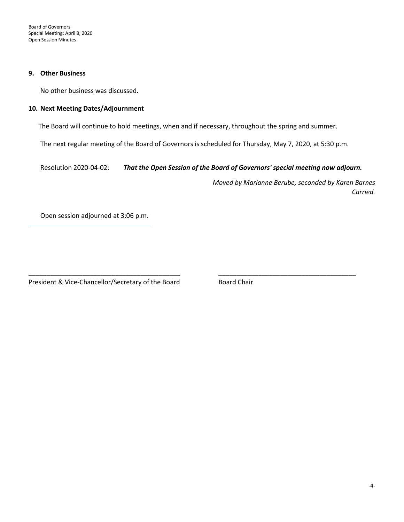Board of Governors Special Meeting: April 8, 2020 Open Session Minutes

#### **9. Other Business**

No other business was discussed.

### **10. Next Meeting Dates/Adjournment**

The Board will continue to hold meetings, when and if necessary, throughout the spring and summer.

The next regular meeting of the Board of Governors is scheduled for Thursday, May 7, 2020, at 5:30 p.m.

\_\_\_\_\_\_\_\_\_\_\_\_\_\_\_\_\_\_\_\_\_\_\_\_\_\_\_\_\_\_\_\_\_\_\_\_\_\_\_\_\_\_ \_\_\_\_\_\_\_\_\_\_\_\_\_\_\_\_\_\_\_\_\_\_\_\_\_\_\_\_\_\_\_\_\_\_\_\_\_\_

Resolution 2020-04-02: *That the Open Session of the Board of Governors' special meeting now adjourn.*

*Moved by Marianne Berube; seconded by Karen Barnes Carried.*

Open session adjourned at 3:06 p.m.

President & Vice-Chancellor/Secretary of the Board Board Chair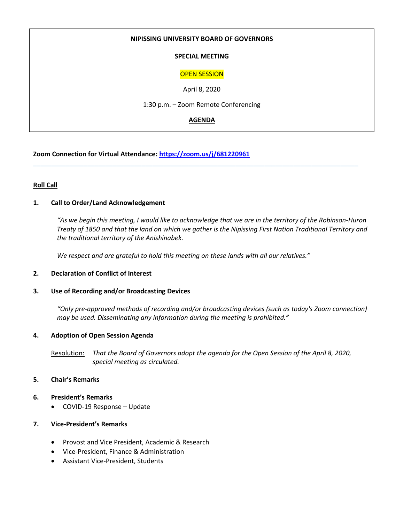### **NIPISSING UNIVERSITY BOARD OF GOVERNORS**

## **SPECIAL MEETING**

## OPEN SESSION

April 8, 2020

1:30 p.m. – Zoom Remote Conferencing

## **AGENDA**

\_\_\_\_\_\_\_\_\_\_\_\_\_\_\_\_\_\_\_\_\_\_\_\_\_\_\_\_\_\_\_\_\_\_\_\_\_\_\_\_\_\_\_\_\_\_\_\_\_\_\_\_\_\_\_\_\_\_\_\_\_\_\_\_\_\_\_\_\_\_\_\_\_\_\_\_\_\_\_\_\_\_\_\_\_\_\_\_\_\_

**Zoom Connection for Virtual Attendance: <https://zoom.us/j/681220961>**

## **Roll Call**

### **1. Call to Order/Land Acknowledgement**

*"As we begin this meeting, I would like to acknowledge that we are in the territory of the Robinson-Huron Treaty of 1850 and that the land on which we gather is the Nipissing First Nation Traditional Territory and the traditional territory of the Anishinabek.*

*We respect and are grateful to hold this meeting on these lands with all our relatives."*

#### **2. Declaration of Conflict of Interest**

#### **3. Use of Recording and/or Broadcasting Devices**

*"Only pre-approved methods of recording and/or broadcasting devices (such as today's Zoom connection) may be used. Disseminating any information during the meeting is prohibited."*

#### **4. Adoption of Open Session Agenda**

Resolution: *That the Board of Governors adopt the agenda for the Open Session of the April 8, 2020, special meeting as circulated.*

#### **5. Chair's Remarks**

- **6. President's Remarks**
	- COVID-19 Response Update
- **7. Vice-President's Remarks**
	- Provost and Vice President, Academic & Research
	- Vice-President, Finance & Administration
	- Assistant Vice-President, Students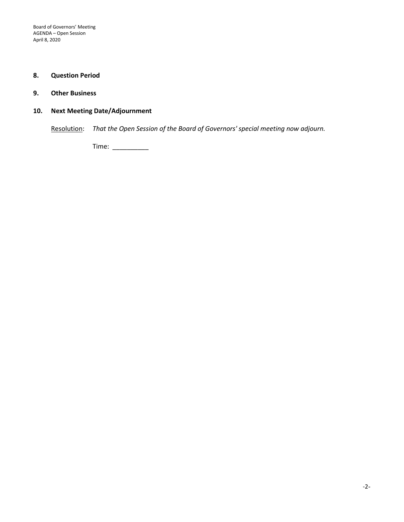## **8. Question Period**

## **9. Other Business**

# **10. Next Meeting Date/Adjournment**

Resolution: *That the Open Session of the Board of Governors' special meeting now adjourn.*

Time: \_\_\_\_\_\_\_\_\_\_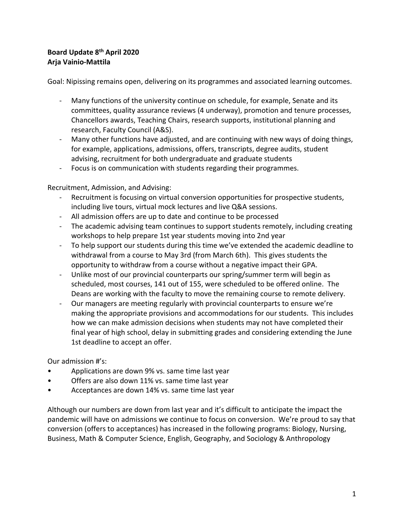# **Board Update 8th April 2020 Arja Vainio-Mattila**

Goal: Nipissing remains open, delivering on its programmes and associated learning outcomes.

- Many functions of the university continue on schedule, for example, Senate and its committees, quality assurance reviews (4 underway), promotion and tenure processes, Chancellors awards, Teaching Chairs, research supports, institutional planning and research, Faculty Council (A&S).
- Many other functions have adjusted, and are continuing with new ways of doing things, for example, applications, admissions, offers, transcripts, degree audits, student advising, recruitment for both undergraduate and graduate students
- Focus is on communication with students regarding their programmes.

Recruitment, Admission, and Advising:

- Recruitment is focusing on virtual conversion opportunities for prospective students, including live tours, virtual mock lectures and live Q&A sessions.
- All admission offers are up to date and continue to be processed
- The academic advising team continues to support students remotely, including creating workshops to help prepare 1st year students moving into 2nd year
- To help support our students during this time we've extended the academic deadline to withdrawal from a course to May 3rd (from March 6th). This gives students the opportunity to withdraw from a course without a negative impact their GPA.
- Unlike most of our provincial counterparts our spring/summer term will begin as scheduled, most courses, 141 out of 155, were scheduled to be offered online. The Deans are working with the faculty to move the remaining course to remote delivery.
- Our managers are meeting regularly with provincial counterparts to ensure we're making the appropriate provisions and accommodations for our students. This includes how we can make admission decisions when students may not have completed their final year of high school, delay in submitting grades and considering extending the June 1st deadline to accept an offer.

Our admission #'s:

- Applications are down 9% vs. same time last year
- Offers are also down 11% vs. same time last year
- Acceptances are down 14% vs. same time last year

Although our numbers are down from last year and it's difficult to anticipate the impact the pandemic will have on admissions we continue to focus on conversion. We're proud to say that conversion (offers to acceptances) has increased in the following programs: Biology, Nursing, Business, Math & Computer Science, English, Geography, and Sociology & Anthropology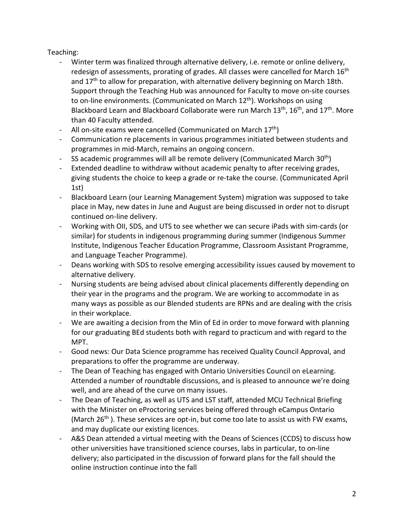# Teaching:

- Winter term was finalized through alternative delivery, i.e. remote or online delivery, redesign of assessments, prorating of grades. All classes were cancelled for March 16<sup>th</sup> and  $17<sup>th</sup>$  to allow for preparation, with alternative delivery beginning on March 18th. Support through the Teaching Hub was announced for Faculty to move on-site courses to on-line environments. (Communicated on March  $12<sup>th</sup>$ ). Workshops on using Blackboard Learn and Blackboard Collaborate were run March 13<sup>th</sup>, 16<sup>th</sup>, and 17<sup>th</sup>. More than 40 Faculty attended.
- All on-site exams were cancelled (Communicated on March  $17<sup>th</sup>$ )
- Communication re placements in various programmes initiated between students and programmes in mid-March, remains an ongoing concern.
- SS academic programmes will all be remote delivery (Communicated March  $30<sup>th</sup>$ )
- Extended deadline to withdraw without academic penalty to after receiving grades, giving students the choice to keep a grade or re-take the course. (Communicated April 1st)
- Blackboard Learn (our Learning Management System) migration was supposed to take place in May, new dates in June and August are being discussed in order not to disrupt continued on-line delivery.
- Working with OII, SDS, and UTS to see whether we can secure iPads with sim-cards (or similar) for students in indigenous programming during summer (Indigenous Summer Institute, Indigenous Teacher Education Programme, Classroom Assistant Programme, and Language Teacher Programme).
- Deans working with SDS to resolve emerging accessibility issues caused by movement to alternative delivery.
- Nursing students are being advised about clinical placements differently depending on their year in the programs and the program. We are working to accommodate in as many ways as possible as our Blended students are RPNs and are dealing with the crisis in their workplace.
- We are awaiting a decision from the Min of Ed in order to move forward with planning for our graduating BEd students both with regard to practicum and with regard to the MPT.
- Good news: Our Data Science programme has received Quality Council Approval, and preparations to offer the programme are underway.
- The Dean of Teaching has engaged with Ontario Universities Council on eLearning. Attended a number of roundtable discussions, and is pleased to announce we're doing well, and are ahead of the curve on many issues.
- The Dean of Teaching, as well as UTS and LST staff, attended MCU Technical Briefing with the Minister on eProctoring services being offered through eCampus Ontario (March  $26<sup>th</sup>$ ). These services are opt-in, but come too late to assist us with FW exams, and may duplicate our existing licences.
- A&S Dean attended a virtual meeting with the Deans of Sciences (CCDS) to discuss how other universities have transitioned science courses, labs in particular, to on-line delivery; also participated in the discussion of forward plans for the fall should the online instruction continue into the fall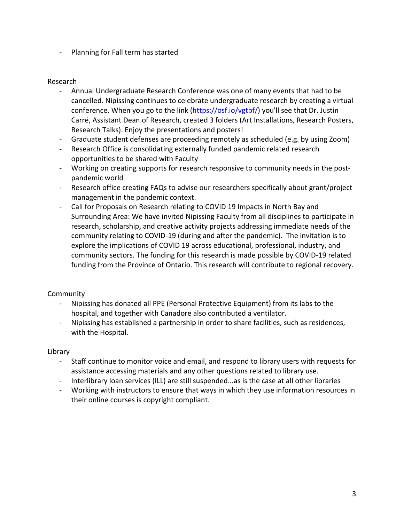- Planning for Fall term has started

## Research

- Annual Undergraduate Research Conference was one of many events that had to be cancelled. Nipissing continues to celebrate undergraduate research by creating a virtual conference. When you go to the link [\(https://osf.io/vgtbf/\)](https://osf.io/vgtbf/) you'll see that Dr. Justin Carré, Assistant Dean of Research, created 3 folders (Art Installations, Research Posters, Research Talks). Enjoy the presentations and posters!
- Graduate student defenses are proceeding remotely as scheduled (e.g. by using Zoom)
- Research Office is consolidating externally funded pandemic related research opportunities to be shared with Faculty
- Working on creating supports for research responsive to community needs in the postpandemic world
- Research office creating FAQs to advise our researchers specifically about grant/project management in the pandemic context.
- Call for Proposals on Research relating to COVID 19 Impacts in North Bay and Surrounding Area: We have invited Nipissing Faculty from all disciplines to participate in research, scholarship, and creative activity projects addressing immediate needs of the community relating to COVID-19 (during and after the pandemic). The invitation is to explore the implications of COVID 19 across educational, professional, industry, and community sectors. The funding for this research is made possible by COVID-19 related funding from the Province of Ontario. This research will contribute to regional recovery.

# **Community**

- Nipissing has donated all PPE (Personal Protective Equipment) from its labs to the hospital, and together with Canadore also contributed a ventilator.
- Nipissing has established a partnership in order to share facilities, such as residences, with the Hospital.

# Library

- Staff continue to monitor voice and email, and respond to library users with requests for assistance accessing materials and any other questions related to library use.
- Interlibrary loan services (ILL) are still suspended...as is the case at all other libraries
- Working with instructors to ensure that ways in which they use information resources in their online courses is copyright compliant.